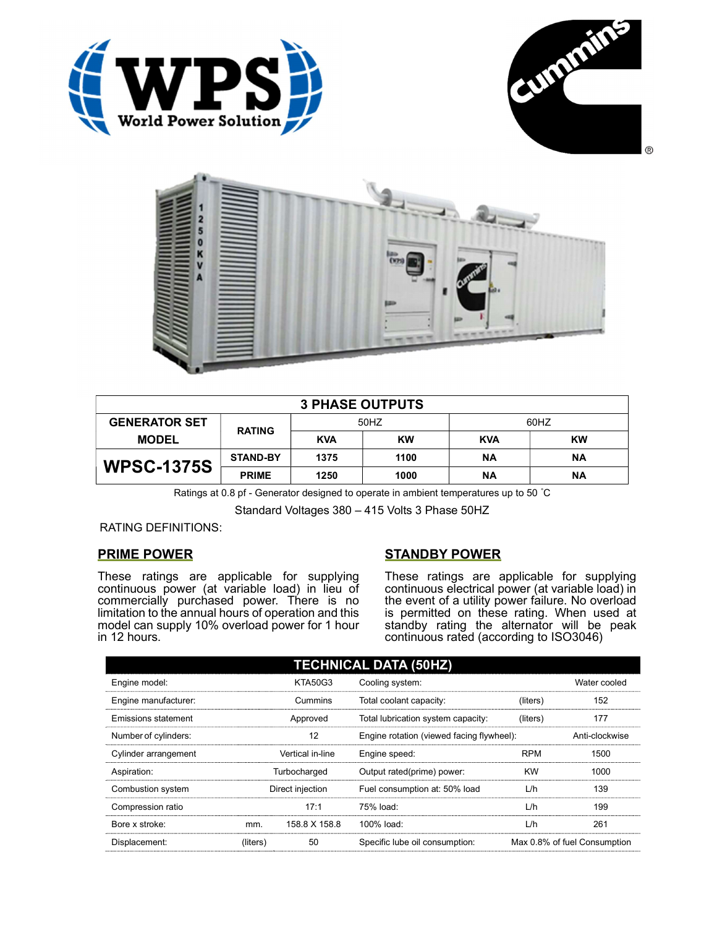





| <b>3 PHASE OUTPUTS</b> |                 |            |           |            |           |  |
|------------------------|-----------------|------------|-----------|------------|-----------|--|
| <b>GENERATOR SET</b>   |                 | 50HZ       |           | 60HZ       |           |  |
| <b>MODEL</b>           | <b>RATING</b>   | <b>KVA</b> | <b>KW</b> | <b>KVA</b> | <b>KW</b> |  |
| <b>WPSC-1375S</b>      | <b>STAND-BY</b> | 1375       | 1100      | ΝA         | <b>NA</b> |  |
|                        | <b>PRIME</b>    | 1250       | 1000      | ΝA         | <b>NA</b> |  |

Ratings at 0.8 pf - Generator designed to operate in ambient temperatures up to 50 °C

Standard Voltages 380 – 415 Volts 3 Phase 50HZ

RATING DEFINITIONS:

## PRIME POWER

These ratings are applicable for supplying continuous power (at variable load) in lieu of commercially purchased power. There is no limitation to the annual hours of operation and this model can supply 10% overload power for 1 hour in 12 hours.

## STANDBY POWER

These ratings are applicable for supplying continuous electrical power (at variable load) in the event of a utility power failure. No overload is permitted on these rating. When used at standby rating the alternator will be peak continuous rated (according to ISO3046)

| <b>TECHNICAL DATA (50HZ)</b> |                  |                  |                                           |            |                              |  |
|------------------------------|------------------|------------------|-------------------------------------------|------------|------------------------------|--|
| Engine model:                |                  | <b>KTA50G3</b>   | Cooling system:                           |            | Water cooled                 |  |
| Engine manufacturer:         |                  | Cummins          | Total coolant capacity:                   | (liters)   | 152                          |  |
| Emissions statement          | Approved         |                  | Total lubrication system capacity:        | (liters)   | 177                          |  |
| Number of cylinders:         | 12               |                  | Engine rotation (viewed facing flywheel): |            | Anti-clockwise               |  |
| Cylinder arrangement         | Vertical in-line |                  | Engine speed:                             | <b>RPM</b> | 1500                         |  |
| Aspiration:                  | Turbocharged     |                  | Output rated(prime) power:                | <b>KW</b>  | 1000                         |  |
| Combustion system            |                  | Direct injection | Fuel consumption at: 50% load             | L/h        | 139                          |  |
| Compression ratio            |                  | 17:1             | 75% load:                                 | L/h        | 199                          |  |
| Bore x stroke:               | mm.              | 158.8 X 158.8    | 100% load:                                | L/h        | 261                          |  |
| Displacement:                | (liters)         | 50               | Specific lube oil consumption:            |            | Max 0.8% of fuel Consumption |  |